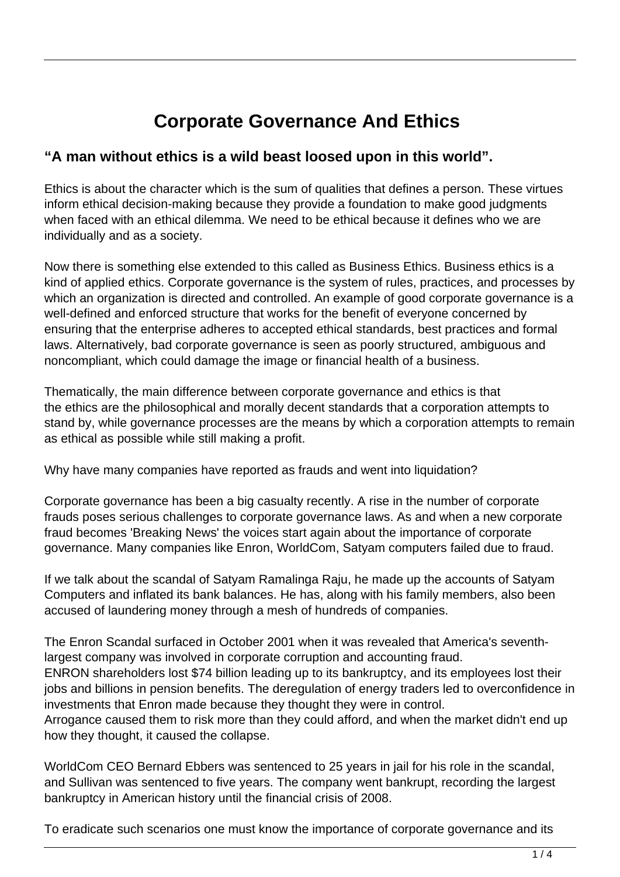# **Corporate Governance And Ethics**

## **"A man without ethics is a wild beast loosed upon in this world".**

Ethics is about the character which is the sum of qualities that defines a person. These virtues inform ethical decision-making because they provide a foundation to make good judgments when faced with an ethical dilemma. We need to be ethical because it defines who we are individually and as a society.

Now there is something else extended to this called as Business Ethics. Business ethics is a kind of applied ethics. Corporate governance is the system of rules, practices, and processes by which an organization is directed and controlled. An example of good corporate governance is a well-defined and enforced structure that works for the benefit of everyone concerned by ensuring that the enterprise adheres to accepted ethical standards, best practices and formal laws. Alternatively, bad corporate governance is seen as poorly structured, ambiguous and noncompliant, which could damage the image or financial health of a business.

Thematically, the main difference between corporate governance and ethics is that the ethics are the philosophical and morally decent standards that a corporation attempts to stand by, while governance processes are the means by which a corporation attempts to remain as ethical as possible while still making a profit.

Why have many companies have reported as frauds and went into liquidation?

Corporate governance has been a big casualty recently. A rise in the number of corporate frauds poses serious challenges to corporate governance laws. As and when a new corporate fraud becomes 'Breaking News' the voices start again about the importance of corporate governance. Many companies like Enron, WorldCom, Satyam computers failed due to fraud.

If we talk about the scandal of Satyam Ramalinga Raju, he made up the accounts of Satyam Computers and inflated its bank balances. He has, along with his family members, also been accused of laundering money through a mesh of hundreds of companies.

The Enron Scandal surfaced in October 2001 when it was revealed that America's seventhlargest company was involved in corporate corruption and accounting fraud. ENRON shareholders lost \$74 billion leading up to its bankruptcy, and its employees lost their jobs and billions in pension benefits. The deregulation of energy traders led to overconfidence in investments that Enron made because they thought they were in control.

Arrogance caused them to risk more than they could afford, and when the market didn't end up how they thought, it caused the collapse.

WorldCom CEO Bernard Ebbers was sentenced to 25 years in jail for his role in the scandal, and Sullivan was sentenced to five years. The company went bankrupt, recording the largest bankruptcy in American history until the financial crisis of 2008.

To eradicate such scenarios one must know the importance of corporate governance and its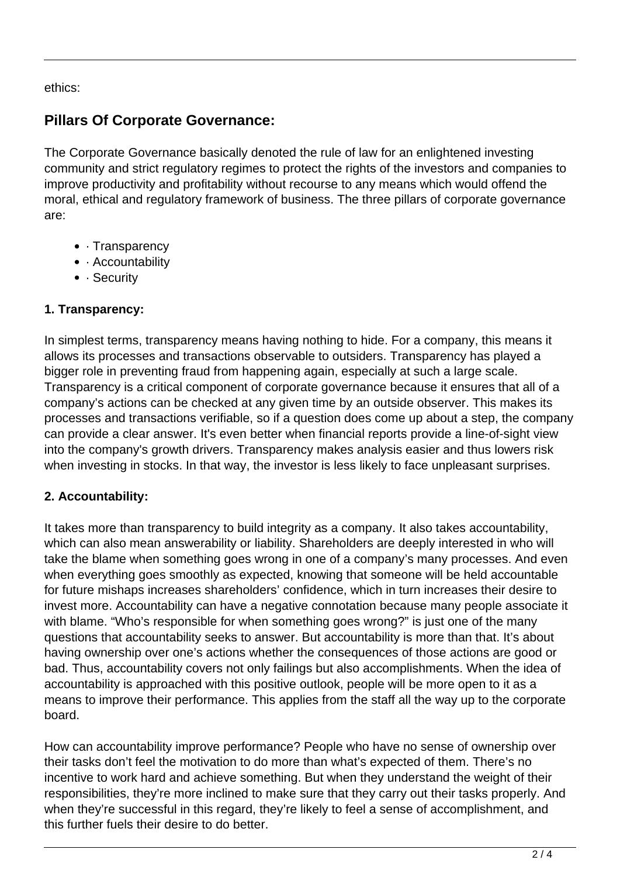ethics:

# **Pillars Of Corporate Governance:**

The Corporate Governance basically denoted the rule of law for an enlightened investing community and strict regulatory regimes to protect the rights of the investors and companies to improve productivity and profitability without recourse to any means which would offend the moral, ethical and regulatory framework of business. The three pillars of corporate governance are:

- · Transparency
- Accountability
- · Security

## **1. Transparency:**

In simplest terms, transparency means having nothing to hide. For a company, this means it allows its processes and transactions observable to outsiders. Transparency has played a bigger role in preventing fraud from happening again, especially at such a large scale. Transparency is a critical component of corporate governance because it ensures that all of a company's actions can be checked at any given time by an outside observer. This makes its processes and transactions verifiable, so if a question does come up about a step, the company can provide a clear answer. It's even better when financial reports provide a line-of-sight view into the company's growth drivers. Transparency makes analysis easier and thus lowers risk when investing in stocks. In that way, the investor is less likely to face unpleasant surprises.

#### **2. Accountability:**

It takes more than transparency to build integrity as a company. It also takes accountability, which can also mean answerability or liability. Shareholders are deeply interested in who will take the blame when something goes wrong in one of a company's many processes. And even when everything goes smoothly as expected, knowing that someone will be held accountable for future mishaps increases shareholders' confidence, which in turn increases their desire to invest more. Accountability can have a negative connotation because many people associate it with blame. "Who's responsible for when something goes wrong?" is just one of the many questions that accountability seeks to answer. But accountability is more than that. It's about having ownership over one's actions whether the consequences of those actions are good or bad. Thus, accountability covers not only failings but also accomplishments. When the idea of accountability is approached with this positive outlook, people will be more open to it as a means to improve their performance. This applies from the staff all the way up to the corporate board.

How can accountability improve performance? People who have no sense of ownership over their tasks don't feel the motivation to do more than what's expected of them. There's no incentive to work hard and achieve something. But when they understand the weight of their responsibilities, they're more inclined to make sure that they carry out their tasks properly. And when they're successful in this regard, they're likely to feel a sense of accomplishment, and this further fuels their desire to do better.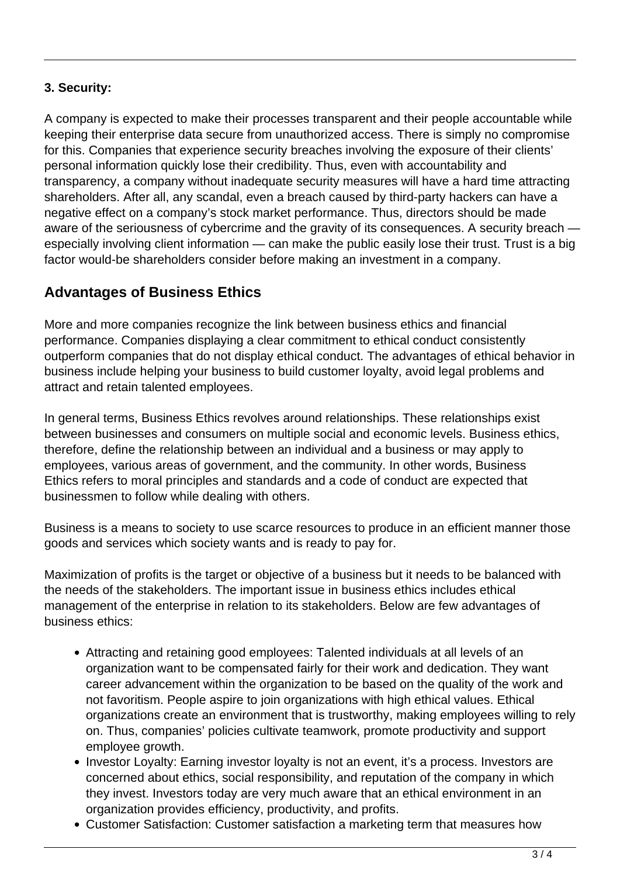## **3. Security:**

A company is expected to make their processes transparent and their people accountable while keeping their enterprise data secure from unauthorized access. There is simply no compromise for this. Companies that experience security breaches involving the exposure of their clients' personal information quickly lose their credibility. Thus, even with accountability and transparency, a company without inadequate security measures will have a hard time attracting shareholders. After all, any scandal, even a breach caused by third-party hackers can have a negative effect on a company's stock market performance. Thus, directors should be made aware of the seriousness of cybercrime and the gravity of its consequences. A security breach especially involving client information — can make the public easily lose their trust. Trust is a big factor would-be shareholders consider before making an investment in a company.

# **Advantages of Business Ethics**

More and more companies recognize the link between business ethics and financial performance. Companies displaying a clear commitment to ethical conduct consistently outperform companies that do not display ethical conduct. The advantages of ethical behavior in business include helping your business to build customer loyalty, avoid legal problems and attract and retain talented employees.

In general terms, Business Ethics revolves around relationships. These relationships exist between businesses and consumers on multiple social and economic levels. Business ethics, therefore, define the relationship between an individual and a business or may apply to employees, various areas of government, and the community. In other words, Business Ethics refers to moral principles and standards and a code of conduct are expected that businessmen to follow while dealing with others.

Business is a means to society to use scarce resources to produce in an efficient manner those goods and services which society wants and is ready to pay for.

Maximization of profits is the target or objective of a business but it needs to be balanced with the needs of the stakeholders. The important issue in business ethics includes ethical management of the enterprise in relation to its stakeholders. Below are few advantages of business ethics:

- Attracting and retaining good employees: Talented individuals at all levels of an organization want to be compensated fairly for their work and dedication. They want career advancement within the organization to be based on the quality of the work and not favoritism. People aspire to join organizations with high ethical values. Ethical organizations create an environment that is trustworthy, making employees willing to rely on. Thus, companies' policies cultivate teamwork, promote productivity and support employee growth.
- Investor Loyalty: Earning investor loyalty is not an event, it's a process. Investors are concerned about ethics, social responsibility, and reputation of the company in which they invest. Investors today are very much aware that an ethical environment in an organization provides efficiency, productivity, and profits.
- Customer Satisfaction: Customer satisfaction a marketing term that measures how